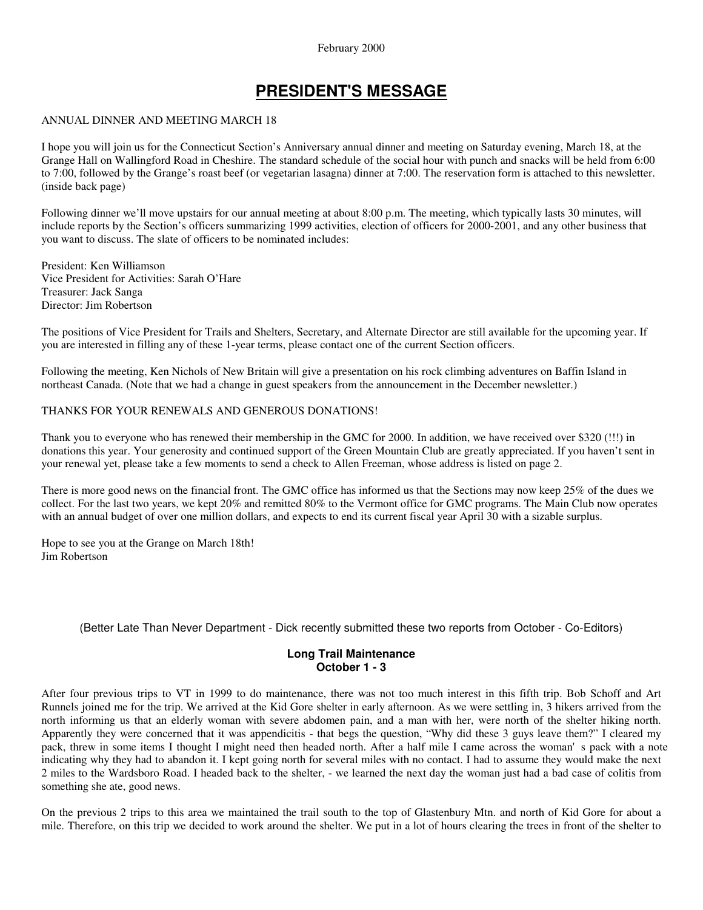## February 2000

# **PRESIDENT'S MESSAGE**

#### ANNUAL DINNER AND MEETING MARCH 18

I hope you will join us for the Connecticut Section's Anniversary annual dinner and meeting on Saturday evening, March 18, at the Grange Hall on Wallingford Road in Cheshire. The standard schedule of the social hour with punch and snacks will be held from 6:00 to 7:00, followed by the Grange's roast beef (or vegetarian lasagna) dinner at 7:00. The reservation form is attached to this newsletter. (inside back page)

Following dinner we'll move upstairs for our annual meeting at about 8:00 p.m. The meeting, which typically lasts 30 minutes, will include reports by the Section's officers summarizing 1999 activities, election of officers for 2000-2001, and any other business that you want to discuss. The slate of officers to be nominated includes:

President: Ken Williamson Vice President for Activities: Sarah O'Hare Treasurer: Jack Sanga Director: Jim Robertson

The positions of Vice President for Trails and Shelters, Secretary, and Alternate Director are still available for the upcoming year. If you are interested in filling any of these 1-year terms, please contact one of the current Section officers.

Following the meeting, Ken Nichols of New Britain will give a presentation on his rock climbing adventures on Baffin Island in northeast Canada. (Note that we had a change in guest speakers from the announcement in the December newsletter.)

# THANKS FOR YOUR RENEWALS AND GENEROUS DONATIONS!

Thank you to everyone who has renewed their membership in the GMC for 2000. In addition, we have received over \$320 (!!!) in donations this year. Your generosity and continued support of the Green Mountain Club are greatly appreciated. If you haven't sent in your renewal yet, please take a few moments to send a check to Allen Freeman, whose address is listed on page 2.

There is more good news on the financial front. The GMC office has informed us that the Sections may now keep 25% of the dues we collect. For the last two years, we kept 20% and remitted 80% to the Vermont office for GMC programs. The Main Club now operates with an annual budget of over one million dollars, and expects to end its current fiscal year April 30 with a sizable surplus.

Hope to see you at the Grange on March 18th! Jim Robertson

(Better Late Than Never Department - Dick recently submitted these two reports from October - Co-Editors)

# **Long Trail Maintenance October 1 - 3**

After four previous trips to VT in 1999 to do maintenance, there was not too much interest in this fifth trip. Bob Schoff and Art Runnels joined me for the trip. We arrived at the Kid Gore shelter in early afternoon. As we were settling in, 3 hikers arrived from the north informing us that an elderly woman with severe abdomen pain, and a man with her, were north of the shelter hiking north. Apparently they were concerned that it was appendicitis - that begs the question, "Why did these 3 guys leave them?" I cleared my pack, threw in some items I thought I might need then headed north. After a half mile I came across the woman's pack with a note indicating why they had to abandon it. I kept going north for several miles with no contact. I had to assume they would make the next 2 miles to the Wardsboro Road. I headed back to the shelter, - we learned the next day the woman just had a bad case of colitis from something she ate, good news.

On the previous 2 trips to this area we maintained the trail south to the top of Glastenbury Mtn. and north of Kid Gore for about a mile. Therefore, on this trip we decided to work around the shelter. We put in a lot of hours clearing the trees in front of the shelter to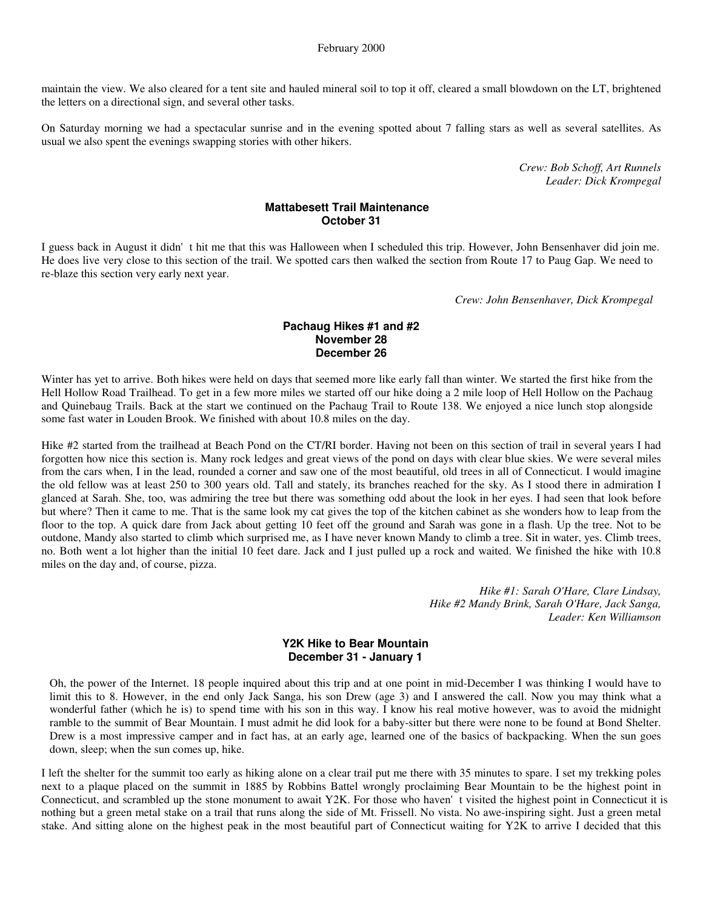maintain the view. We also cleared for a tent site and hauled mineral soil to top it off, cleared a small blowdown on the LT, brightened the letters on a directional sign, and several other tasks.

On Saturday morning we had a spectacular sunrise and in the evening spotted about 7 falling stars as well as several satellites. As usual we also spent the evenings swapping stories with other hikers.

> *Crew: Bob Schoff, Art Runnels Leader: Dick Krompegal*

# **Mattabesett Trail Maintenance October 31**

I guess back in August it didn't hit me that this was Halloween when I scheduled this trip. However, John Bensenhaver did join me. He does live very close to this section of the trail. We spotted cars then walked the section from Route 17 to Paug Gap. We need to re-blaze this section very early next year.

*Crew: John Bensenhaver, Dick Krompegal*

# **Pachaug Hikes #1 and #2 November 28 December 26**

Winter has yet to arrive. Both hikes were held on days that seemed more like early fall than winter. We started the first hike from the Hell Hollow Road Trailhead. To get in a few more miles we started off our hike doing a 2 mile loop of Hell Hollow on the Pachaug and Quinebaug Trails. Back at the start we continued on the Pachaug Trail to Route 138. We enjoyed a nice lunch stop alongside some fast water in Louden Brook. We finished with about 10.8 miles on the day.

Hike #2 started from the trailhead at Beach Pond on the CT/RI border. Having not been on this section of trail in several years I had forgotten how nice this section is. Many rock ledges and great views of the pond on days with clear blue skies. We were several miles from the cars when, I in the lead, rounded a corner and saw one of the most beautiful, old trees in all of Connecticut. I would imagine the old fellow was at least 250 to 300 years old. Tall and stately, its branches reached for the sky. As I stood there in admiration I glanced at Sarah. She, too, was admiring the tree but there was something odd about the look in her eyes. I had seen that look before but where? Then it came to me. That is the same look my cat gives the top of the kitchen cabinet as she wonders how to leap from the floor to the top. A quick dare from Jack about getting 10 feet off the ground and Sarah was gone in a flash. Up the tree. Not to be outdone, Mandy also started to climb which surprised me, as I have never known Mandy to climb a tree. Sit in water, yes. Climb trees, no. Both went a lot higher than the initial 10 feet dare. Jack and I just pulled up a rock and waited. We finished the hike with 10.8 miles on the day and, of course, pizza.

> *Hike #1: Sarah O'Hare, Clare Lindsay, Hike #2 Mandy Brink, Sarah O'Hare, Jack Sanga, Leader: Ken Williamson*

#### **Y2K Hike to Bear Mountain December 31 - January 1**

Oh, the power of the Internet. 18 people inquired about this trip and at one point in mid-December I was thinking I would have to limit this to 8. However, in the end only Jack Sanga, his son Drew (age 3) and I answered the call. Now you may think what a wonderful father (which he is) to spend time with his son in this way. I know his real motive however, was to avoid the midnight ramble to the summit of Bear Mountain. I must admit he did look for a baby-sitter but there were none to be found at Bond Shelter. Drew is a most impressive camper and in fact has, at an early age, learned one of the basics of backpacking. When the sun goes down, sleep; when the sun comes up, hike.

I left the shelter for the summit too early as hiking alone on a clear trail put me there with 35 minutes to spare. I set my trekking poles next to a plaque placed on the summit in 1885 by Robbins Battel wrongly proclaiming Bear Mountain to be the highest point in Connecticut, and scrambled up the stone monument to await Y2K. For those who haven't visited the highest point in Connecticut it is nothing but a green metal stake on a trail that runs along the side of Mt. Frissell. No vista. No awe-inspiring sight. Just a green metal stake. And sitting alone on the highest peak in the most beautiful part of Connecticut waiting for Y2K to arrive I decided that this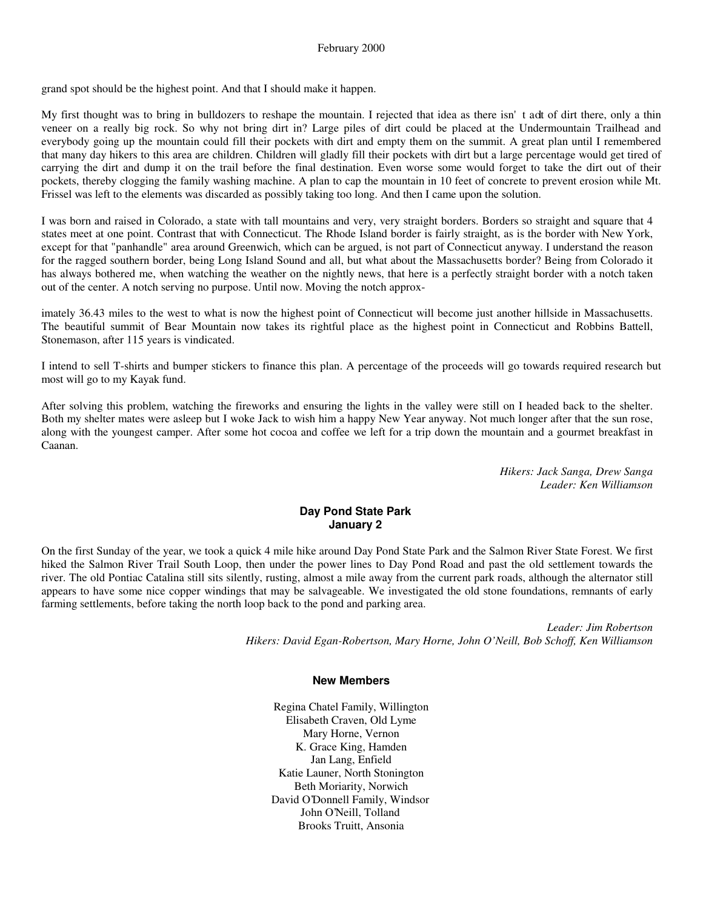grand spot should be the highest point. And that I should make it happen.

My first thought was to bring in bulldozers to reshape the mountain. I rejected that idea as there isn't adt of dirt there, only a thin veneer on a really big rock. So why not bring dirt in? Large piles of dirt could be placed at the Undermountain Trailhead and everybody going up the mountain could fill their pockets with dirt and empty them on the summit. A great plan until I remembered that many day hikers to this area are children. Children will gladly fill their pockets with dirt but a large percentage would get tired of carrying the dirt and dump it on the trail before the final destination. Even worse some would forget to take the dirt out of their pockets, thereby clogging the family washing machine. A plan to cap the mountain in 10 feet of concrete to prevent erosion while Mt. Frissel was left to the elements was discarded as possibly taking too long. And then I came upon the solution.

I was born and raised in Colorado, a state with tall mountains and very, very straight borders. Borders so straight and square that 4 states meet at one point. Contrast that with Connecticut. The Rhode Island border is fairly straight, as is the border with New York, except for that "panhandle" area around Greenwich, which can be argued, is not part of Connecticut anyway. I understand the reason for the ragged southern border, being Long Island Sound and all, but what about the Massachusetts border? Being from Colorado it has always bothered me, when watching the weather on the nightly news, that here is a perfectly straight border with a notch taken out of the center. A notch serving no purpose. Until now. Moving the notch approx-

imately 36.43 miles to the west to what is now the highest point of Connecticut will become just another hillside in Massachusetts. The beautiful summit of Bear Mountain now takes its rightful place as the highest point in Connecticut and Robbins Battell, Stonemason, after 115 years is vindicated.

I intend to sell T-shirts and bumper stickers to finance this plan. A percentage of the proceeds will go towards required research but most will go to my Kayak fund.

After solving this problem, watching the fireworks and ensuring the lights in the valley were still on I headed back to the shelter. Both my shelter mates were asleep but I woke Jack to wish him a happy New Year anyway. Not much longer after that the sun rose, along with the youngest camper. After some hot cocoa and coffee we left for a trip down the mountain and a gourmet breakfast in Caanan.

> *Hikers: Jack Sanga, Drew Sanga Leader: Ken Williamson*

# **Day Pond State Park January 2**

On the first Sunday of the year, we took a quick 4 mile hike around Day Pond State Park and the Salmon River State Forest. We first hiked the Salmon River Trail South Loop, then under the power lines to Day Pond Road and past the old settlement towards the river. The old Pontiac Catalina still sits silently, rusting, almost a mile away from the current park roads, although the alternator still appears to have some nice copper windings that may be salvageable. We investigated the old stone foundations, remnants of early farming settlements, before taking the north loop back to the pond and parking area.

> *Leader: Jim Robertson Hikers: David Egan-Robertson, Mary Horne, John O'Neill, Bob Schoff, Ken Williamson*

#### **New Members**

Regina Chatel Family, Willington Elisabeth Craven, Old Lyme Mary Horne, Vernon K. Grace King, Hamden Jan Lang, Enfield Katie Launer, North Stonington Beth Moriarity, Norwich David O'Donnell Family, Windsor John O'Neill, Tolland Brooks Truitt, Ansonia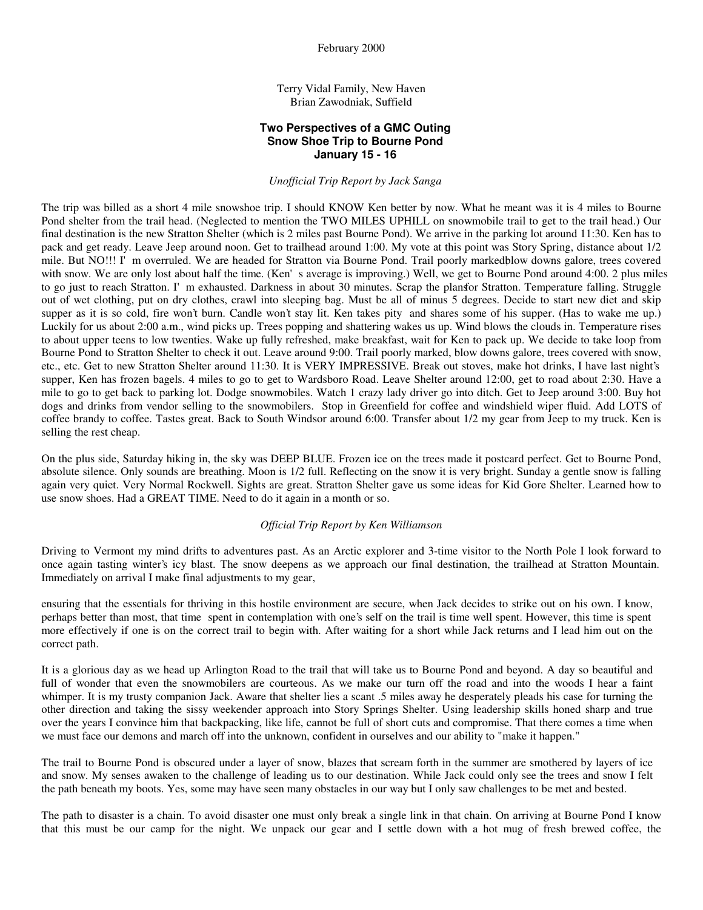Terry Vidal Family, New Haven Brian Zawodniak, Suffield

# **Two Perspectives of a GMC Outing Snow Shoe Trip to Bourne Pond January 15 - 16**

*Unofficial Trip Report by Jack Sanga*

The trip was billed as a short 4 mile snowshoe trip. I should KNOW Ken better by now. What he meant was it is 4 miles to Bourne Pond shelter from the trail head. (Neglected to mention the TWO MILES UPHILL on snowmobile trail to get to the trail head.) Our final destination is the new Stratton Shelter (which is 2 miles past Bourne Pond). We arrive in the parking lot around 11:30. Ken has to pack and get ready. Leave Jeep around noon. Get to trailhead around 1:00. My vote at this point was Story Spring, distance about 1/2 mile. But NO!!! I'm overruled. We are headed for Stratton via Bourne Pond. Trail poorly markedblow downs galore, trees covered with snow. We are only lost about half the time. (Ken's average is improving.) Well, we get to Bourne Pond around 4:00. 2 plus miles to go just to reach Stratton. I'm exhausted. Darkness in about 30 minutes. Scrap the plansfor Stratton. Temperature falling. Struggle out of wet clothing, put on dry clothes, crawl into sleeping bag. Must be all of minus 5 degrees. Decide to start new diet and skip supper as it is so cold, fire won't burn. Candle won't stay lit. Ken takes pity and shares some of his supper. (Has to wake me up.) Luckily for us about 2:00 a.m., wind picks up. Trees popping and shattering wakes us up. Wind blows the clouds in. Temperature rises to about upper teens to low twenties. Wake up fully refreshed, make breakfast, wait for Ken to pack up. We decide to take loop from Bourne Pond to Stratton Shelter to check it out. Leave around 9:00. Trail poorly marked, blow downs galore, trees covered with snow, etc., etc. Get to new Stratton Shelter around 11:30. It is VERY IMPRESSIVE. Break out stoves, make hot drinks, I have last night's supper, Ken has frozen bagels. 4 miles to go to get to Wardsboro Road. Leave Shelter around 12:00, get to road about 2:30. Have a mile to go to get back to parking lot. Dodge snowmobiles. Watch 1 crazy lady driver go into ditch. Get to Jeep around 3:00. Buy hot dogs and drinks from vendor selling to the snowmobilers. Stop in Greenfield for coffee and windshield wiper fluid. Add LOTS of coffee brandy to coffee. Tastes great. Back to South Windsor around 6:00. Transfer about 1/2 my gear from Jeep to my truck. Ken is selling the rest cheap.

On the plus side, Saturday hiking in, the sky was DEEP BLUE. Frozen ice on the trees made it postcard perfect. Get to Bourne Pond, absolute silence. Only sounds are breathing. Moon is 1/2 full. Reflecting on the snow it is very bright. Sunday a gentle snow is falling again very quiet. Very Normal Rockwell. Sights are great. Stratton Shelter gave us some ideas for Kid Gore Shelter. Learned how to use snow shoes. Had a GREAT TIME. Need to do it again in a month or so.

#### *Official Trip Report by Ken Williamson*

Driving to Vermont my mind drifts to adventures past. As an Arctic explorer and 3-time visitor to the North Pole I look forward to once again tasting winter's icy blast. The snow deepens as we approach our final destination, the trailhead at Stratton Mountain. Immediately on arrival I make final adjustments to my gear,

ensuring that the essentials for thriving in this hostile environment are secure, when Jack decides to strike out on his own. I know, perhaps better than most, that time spent in contemplation with one's self on the trail is time well spent. However, this time is spent more effectively if one is on the correct trail to begin with. After waiting for a short while Jack returns and I lead him out on the correct path.

It is a glorious day as we head up Arlington Road to the trail that will take us to Bourne Pond and beyond. A day so beautiful and full of wonder that even the snowmobilers are courteous. As we make our turn off the road and into the woods I hear a faint whimper. It is my trusty companion Jack. Aware that shelter lies a scant .5 miles away he desperately pleads his case for turning the other direction and taking the sissy weekender approach into Story Springs Shelter. Using leadership skills honed sharp and true over the years I convince him that backpacking, like life, cannot be full of short cuts and compromise. That there comes a time when we must face our demons and march off into the unknown, confident in ourselves and our ability to "make it happen."

The trail to Bourne Pond is obscured under a layer of snow, blazes that scream forth in the summer are smothered by layers of ice and snow. My senses awaken to the challenge of leading us to our destination. While Jack could only see the trees and snow I felt the path beneath my boots. Yes, some may have seen many obstacles in our way but I only saw challenges to be met and bested.

The path to disaster is a chain. To avoid disaster one must only break a single link in that chain. On arriving at Bourne Pond I know that this must be our camp for the night. We unpack our gear and I settle down with a hot mug of fresh brewed coffee, the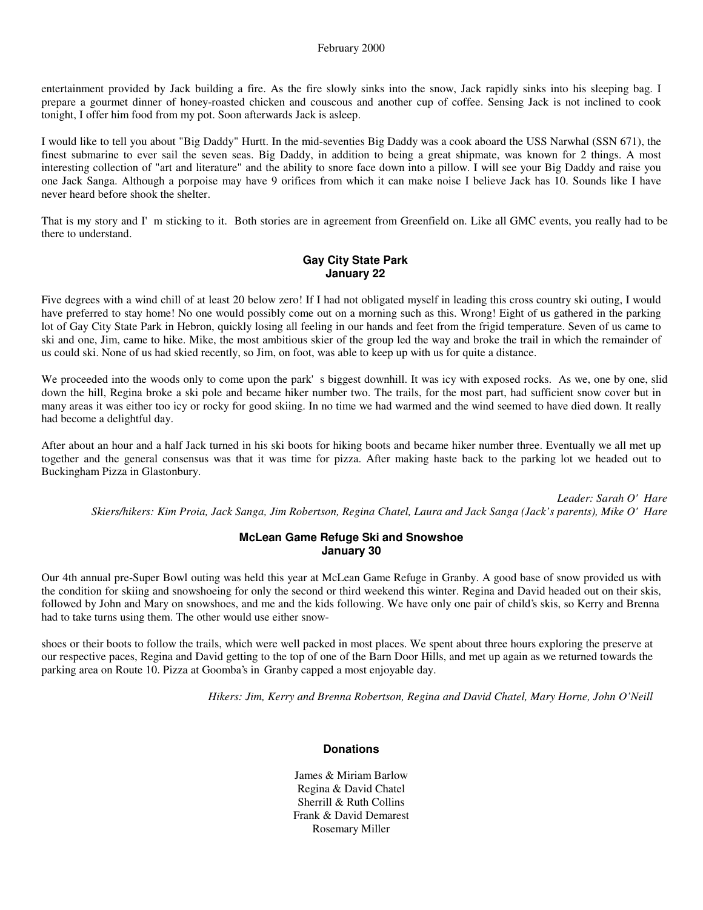entertainment provided by Jack building a fire. As the fire slowly sinks into the snow, Jack rapidly sinks into his sleeping bag. I prepare a gourmet dinner of honey-roasted chicken and couscous and another cup of coffee. Sensing Jack is not inclined to cook tonight, I offer him food from my pot. Soon afterwards Jack is asleep.

I would like to tell you about "Big Daddy" Hurtt. In the mid-seventies Big Daddy was a cook aboard the USS Narwhal (SSN 671), the finest submarine to ever sail the seven seas. Big Daddy, in addition to being a great shipmate, was known for 2 things. A most interesting collection of "art and literature" and the ability to snore face down into a pillow. I will see your Big Daddy and raise you one Jack Sanga. Although a porpoise may have 9 orifices from which it can make noise I believe Jack has 10. Sounds like I have never heard before shook the shelter.

That is my story and I'm sticking to it. Both stories are in agreement from Greenfield on. Like all GMC events, you really had to be there to understand.

# **Gay City State Park January 22**

Five degrees with a wind chill of at least 20 below zero! If I had not obligated myself in leading this cross country ski outing, I would have preferred to stay home! No one would possibly come out on a morning such as this. Wrong! Eight of us gathered in the parking lot of Gay City State Park in Hebron, quickly losing all feeling in our hands and feet from the frigid temperature. Seven of us came to ski and one, Jim, came to hike. Mike, the most ambitious skier of the group led the way and broke the trail in which the remainder of us could ski. None of us had skied recently, so Jim, on foot, was able to keep up with us for quite a distance.

We proceeded into the woods only to come upon the park's biggest downhill. It was icy with exposed rocks. As we, one by one, slid down the hill, Regina broke a ski pole and became hiker number two. The trails, for the most part, had sufficient snow cover but in many areas it was either too icy or rocky for good skiing. In no time we had warmed and the wind seemed to have died down. It really had become a delightful day.

After about an hour and a half Jack turned in his ski boots for hiking boots and became hiker number three. Eventually we all met up together and the general consensus was that it was time for pizza. After making haste back to the parking lot we headed out to Buckingham Pizza in Glastonbury.

*Leader: Sarah O'Hare Skiers/hikers: Kim Proia, Jack Sanga, Jim Robertson, Regina Chatel, Laura and Jack Sanga (Jack's parents), Mike O'Hare*

# **McLean Game Refuge Ski and Snowshoe January 30**

Our 4th annual pre-Super Bowl outing was held this year at McLean Game Refuge in Granby. A good base of snow provided us with the condition for skiing and snowshoeing for only the second or third weekend this winter. Regina and David headed out on their skis, followed by John and Mary on snowshoes, and me and the kids following. We have only one pair of child's skis, so Kerry and Brenna had to take turns using them. The other would use either snow-

shoes or their boots to follow the trails, which were well packed in most places. We spent about three hours exploring the preserve at our respective paces, Regina and David getting to the top of one of the Barn Door Hills, and met up again as we returned towards the parking area on Route 10. Pizza at Goomba's in Granby capped a most enjoyable day.

*Hikers: Jim, Kerry and Brenna Robertson, Regina and David Chatel, Mary Horne, John O'Neill*

# **Donations**

James & Miriam Barlow Regina & David Chatel Sherrill & Ruth Collins Frank & David Demarest Rosemary Miller